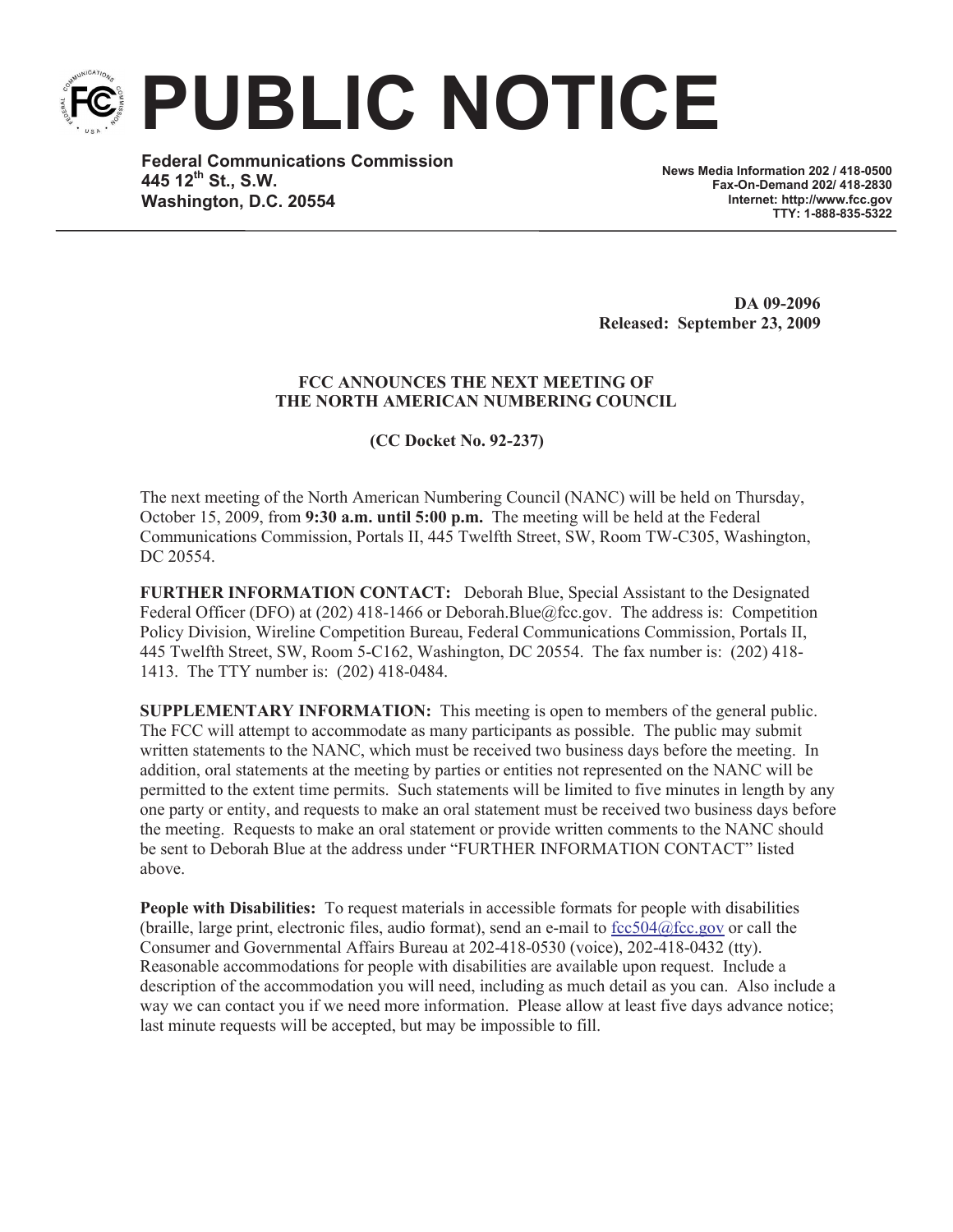**PUBLIC NOTICE**

**Federal Communications Commission 445 12th St., S.W. Washington, D.C. 20554**

**News Media Information 202 / 418-0500 Fax-On-Demand 202/ 418-2830 Internet: http://www.fcc.gov TTY: 1-888-835-5322**

**DA 09-2096 Released: September 23, 2009**

## **FCC ANNOUNCES THE NEXT MEETING OF THE NORTH AMERICAN NUMBERING COUNCIL**

**(CC Docket No. 92-237)**

The next meeting of the North American Numbering Council (NANC) will be held on Thursday, October 15, 2009, from **9:30 a.m. until 5:00 p.m.** The meeting will be held at the Federal Communications Commission, Portals II, 445 Twelfth Street, SW, Room TW-C305, Washington, DC 20554.

**FURTHER INFORMATION CONTACT:** Deborah Blue, Special Assistant to the Designated Federal Officer (DFO) at (202) 418-1466 or Deborah.Blue@fcc.gov. The address is: Competition Policy Division, Wireline Competition Bureau, Federal Communications Commission, Portals II, 445 Twelfth Street, SW, Room 5-C162, Washington, DC 20554. The fax number is: (202) 418- 1413. The TTY number is: (202) 418-0484.

**SUPPLEMENTARY INFORMATION:** This meeting is open to members of the general public. The FCC will attempt to accommodate as many participants as possible. The public may submit written statements to the NANC, which must be received two business days before the meeting. In addition, oral statements at the meeting by parties or entities not represented on the NANC will be permitted to the extent time permits. Such statements will be limited to five minutes in length by any one party or entity, and requests to make an oral statement must be received two business days before the meeting. Requests to make an oral statement or provide written comments to the NANC should be sent to Deborah Blue at the address under "FURTHER INFORMATION CONTACT" listed above.

**People with Disabilities:** To request materials in accessible formats for people with disabilities (braille, large print, electronic files, audio format), send an e-mail to  $fcc504@$ fcc.gov or call the Consumer and Governmental Affairs Bureau at 202-418-0530 (voice), 202-418-0432 (tty). Reasonable accommodations for people with disabilities are available upon request. Include a description of the accommodation you will need, including as much detail as you can. Also include a way we can contact you if we need more information. Please allow at least five days advance notice; last minute requests will be accepted, but may be impossible to fill.